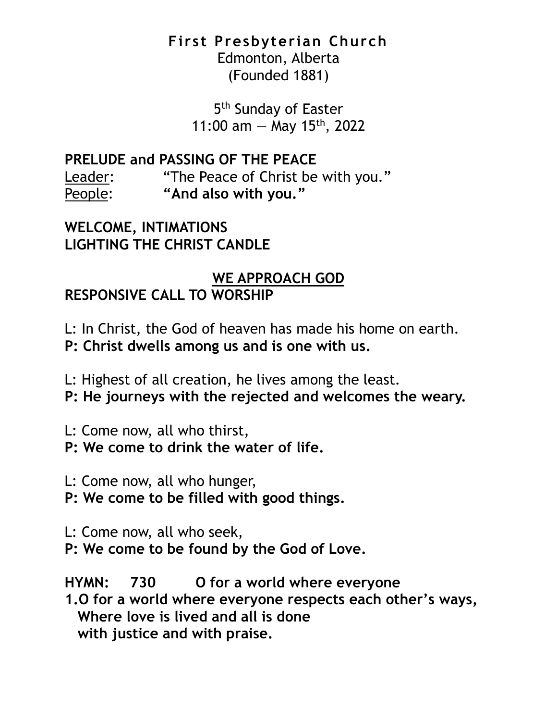#### **First Presbyterian Church**

Edmonton, Alberta (Founded 1881)

5<sup>th</sup> Sunday of Easter 11:00 am  $-$  May 15<sup>th</sup>, 2022

**PRELUDE and PASSING OF THE PEACE**

Leader: "The Peace of Christ be with you." People: **"And also with you."**

**WELCOME, INTIMATIONS LIGHTING THE CHRIST CANDLE**

# **WE APPROACH GOD**

# **RESPONSIVE CALL TO WORSHIP**

L: In Christ, the God of heaven has made his home on earth.

**P: Christ dwells among us and is one with us.**

L: Highest of all creation, he lives among the least.

**P: He journeys with the rejected and welcomes the weary.**

L: Come now, all who thirst,

**P: We come to drink the water of life.**

L: Come now, all who hunger,

**P: We come to be filled with good things.**

L: Come now, all who seek,

**P: We come to be found by the God of Love.**

**HYMN: 730 O for a world where everyone 1.O for a world where everyone respects each other's ways, Where love is lived and all is done with justice and with praise.**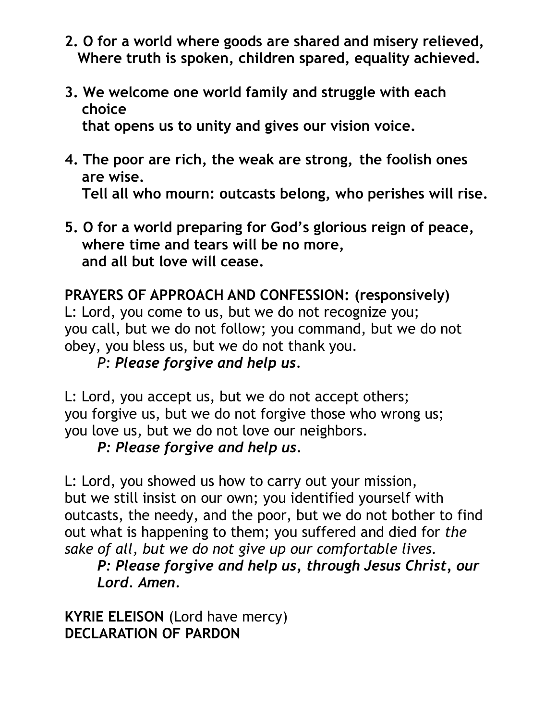- **2. O for a world where goods are shared and misery relieved, Where truth is spoken, children spared, equality achieved.**
- **3. We welcome one world family and struggle with each choice that opens us to unity and gives our vision voice.**
- **4. The poor are rich, the weak are strong, the foolish ones are wise. Tell all who mourn: outcasts belong, who perishes will rise.**
- **5. O for a world preparing for God's glorious reign of peace, where time and tears will be no more, and all but love will cease.**

# **PRAYERS OF APPROACH AND CONFESSION: (responsively)**

L: Lord, you come to us, but we do not recognize you; you call, but we do not follow; you command, but we do not obey, you bless us, but we do not thank you.

### *P: Please forgive and help us.*

L: Lord, you accept us, but we do not accept others; you forgive us, but we do not forgive those who wrong us; you love us, but we do not love our neighbors.

### *P: Please forgive and help us.*

L: Lord, you showed us how to carry out your mission, but we still insist on our own; you identified yourself with outcasts, the needy, and the poor, but we do not bother to find out what is happening to them; you suffered and died for *the sake of all, but we do not give up our comfortable lives.*

### *P: Please forgive and help us, through Jesus Christ, our Lord. Amen.*

**KYRIE ELEISON** (Lord have mercy) **DECLARATION OF PARDON**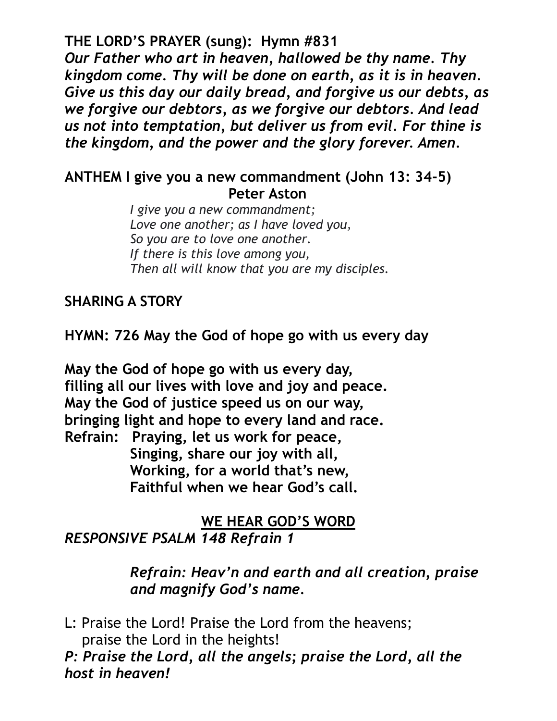**THE LORD'S PRAYER (sung): Hymn #831**

*Our Father who art in heaven, hallowed be thy name. Thy kingdom come. Thy will be done on earth, as it is in heaven. Give us this day our daily bread, and forgive us our debts, as we forgive our debtors, as we forgive our debtors. And lead us not into temptation, but deliver us from evil. For thine is the kingdom, and the power and the glory forever. Amen.*

#### **ANTHEM I give you a new commandment (John 13: 34-5) Peter Aston**

*I give you a new commandment; Love one another; as I have loved you, So you are to love one another. If there is this love among you, Then all will know that you are my disciples.*

### **SHARING A STORY**

**HYMN: 726 May the God of hope go with us every day**

**May the God of hope go with us every day, filling all our lives with love and joy and peace. May the God of justice speed us on our way, bringing light and hope to every land and race. Refrain: Praying, let us work for peace, Singing, share our joy with all, Working, for a world that's new, Faithful when we hear God's call.**

#### **WE HEAR GOD'S WORD** *RESPONSIVE PSALM 148 Refrain 1*

*Refrain: Heav'n and earth and all creation, praise and magnify God's name.*

L: Praise the Lord! Praise the Lord from the heavens; praise the Lord in the heights!

*P: Praise the Lord, all the angels; praise the Lord, all the host in heaven!*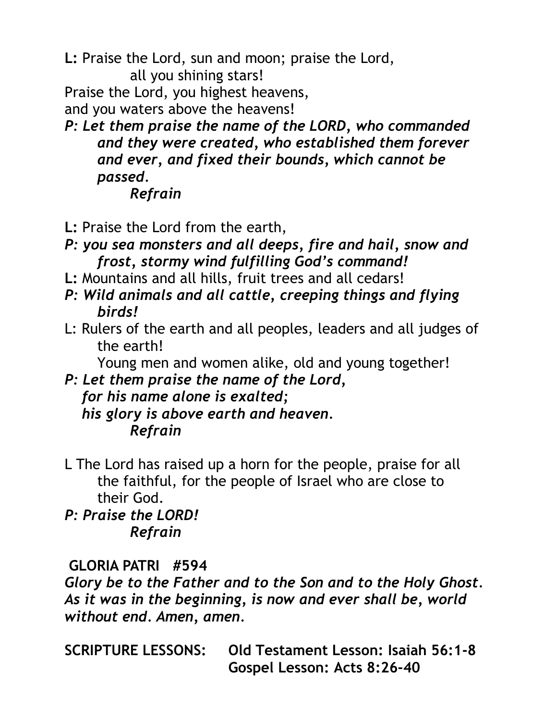**L:** Praise the Lord, sun and moon; praise the Lord, all you shining stars!

Praise the Lord, you highest heavens,

and you waters above the heavens!

*P: Let them praise the name of the LORD, who commanded and they were created, who established them forever and ever, and fixed their bounds, which cannot be passed.* 

## *Refrain*

- **L:** Praise the Lord from the earth,
- *P: you sea monsters and all deeps, fire and hail, snow and frost, stormy wind fulfilling God's command!*
- **L:** Mountains and all hills, fruit trees and all cedars!
- *P: Wild animals and all cattle, creeping things and flying birds!*
- L: Rulers of the earth and all peoples, leaders and all judges of the earth!

Young men and women alike, old and young together!

#### *P: Let them praise the name of the Lord, for his name alone is exalted; his glory is above earth and heaven. Refrain*

L The Lord has raised up a horn for the people, praise for all the faithful, for the people of Israel who are close to their God.

*P: Praise the LORD! Refrain*

# **GLORIA PATRI #594**

*Glory be to the Father and to the Son and to the Holy Ghost. As it was in the beginning, is now and ever shall be, world without end. Amen, amen.*

**SCRIPTURE LESSONS: Old Testament Lesson: Isaiah 56:1-8 Gospel Lesson: Acts 8:26-40**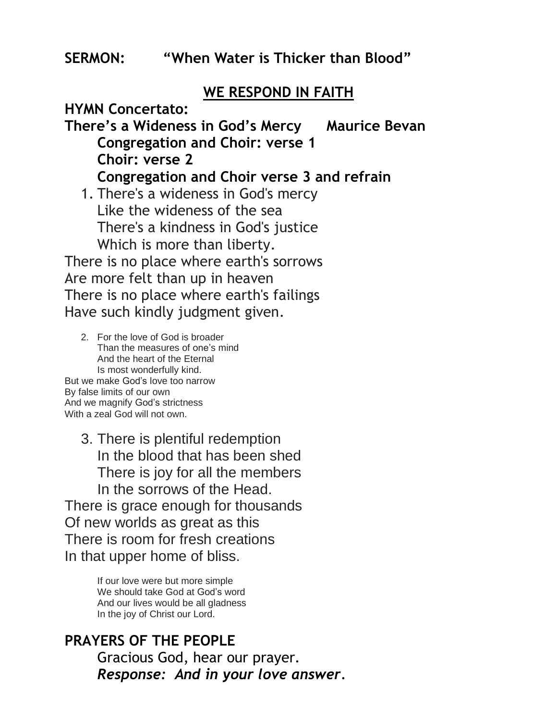#### **WE RESPOND IN FAITH**

**HYMN Concertato:**

**There's a Wideness in God's Mercy Maurice Bevan Congregation and Choir: verse 1 Choir: verse 2 Congregation and Choir verse 3 and refrain**

1. There's a wideness in God's mercy Like the wideness of the sea There's a kindness in God's justice Which is more than liberty.

There is no place where earth's sorrows Are more felt than up in heaven There is no place where earth's failings Have such kindly judgment given.

2. For the love of God is broader Than the measures of one's mind And the heart of the Eternal Is most wonderfully kind. But we make God's love too narrow By false limits of our own And we magnify God's strictness With a zeal God will not own.

3. There is plentiful redemption In the blood that has been shed There is joy for all the members In the sorrows of the Head. There is grace enough for thousands Of new worlds as great as this There is room for fresh creations In that upper home of bliss.

> If our love were but more simple We should take God at God's word And our lives would be all gladness In the joy of Christ our Lord.

#### **PRAYERS OF THE PEOPLE** Gracious God, hear our prayer. *Response: And in your love answer.*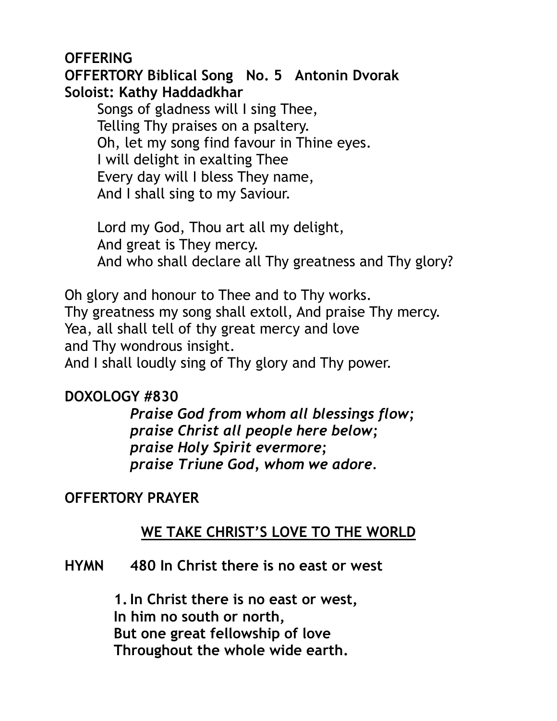#### **OFFERING**

**OFFERTORY Biblical Song No. 5 Antonin Dvorak Soloist: Kathy Haddadkhar**

Songs of gladness will I sing Thee, Telling Thy praises on a psaltery. Oh, let my song find favour in Thine eyes. I will delight in exalting Thee Every day will I bless They name, And I shall sing to my Saviour.

Lord my God, Thou art all my delight, And great is They mercy. And who shall declare all Thy greatness and Thy glory?

Oh glory and honour to Thee and to Thy works. Thy greatness my song shall extoll, And praise Thy mercy. Yea, all shall tell of thy great mercy and love and Thy wondrous insight.

And I shall loudly sing of Thy glory and Thy power.

### **DOXOLOGY #830**

*Praise God from whom all blessings flow; praise Christ all people here below; praise Holy Spirit evermore; praise Triune God, whom we adore.* 

### **OFFERTORY PRAYER**

# **WE TAKE CHRIST'S LOVE TO THE WORLD**

#### **HYMN 480 In Christ there is no east or west**

**1.In Christ there is no east or west, In him no south or north, But one great fellowship of love Throughout the whole wide earth.**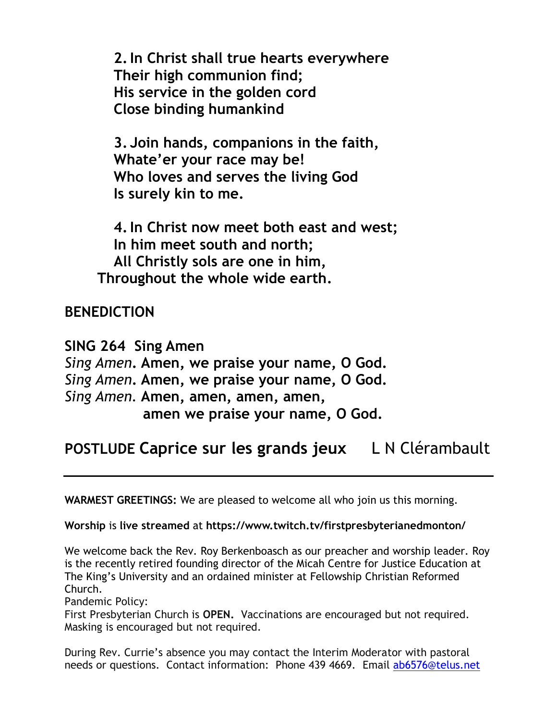**2.In Christ shall true hearts everywhere Their high communion find; His service in the golden cord Close binding humankind**

**3. Join hands, companions in the faith, Whate'er your race may be! Who loves and serves the living God Is surely kin to me.**

**4.In Christ now meet both east and west; In him meet south and north; All Christly sols are one in him, Throughout the whole wide earth.**

#### **BENEDICTION**

**SING 264 Sing Amen** *Sing Amen***. Amen, we praise your name, O God.** *Sing Amen***. Amen, we praise your name, O God.** *Sing Amen.* **Amen, amen, amen, amen, amen we praise your name, O God.**

# **POSTLUDE Caprice sur les grands jeux** L N Clérambault

**WARMEST GREETINGS:** We are pleased to welcome all who join us this morning.

#### **Worship** is **live streamed** at **https://www.twitch.tv/firstpresbyterianedmonton/**

We welcome back the Rev. Roy Berkenboasch as our preacher and worship leader. Roy is the recently retired founding director of the Micah Centre for Justice Education at The King's University and an ordained minister at Fellowship Christian Reformed Church.

Pandemic Policy:

First Presbyterian Church is **OPEN.** Vaccinations are encouraged but not required. Masking is encouraged but not required.

During Rev. Currie's absence you may contact the Interim Moderator with pastoral needs or questions. Contact information: Phone 439 4669. Email [ab6576@telus.net](mailto:ab6576@telus.net)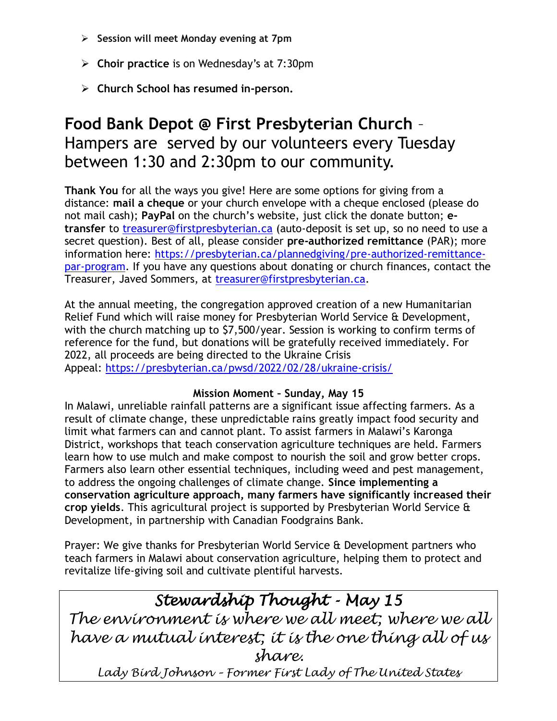- ➢ **Session will meet Monday evening at 7pm**
- ➢ **Choir practice** is on Wednesday's at 7:30pm
- ➢ **Church School has resumed in-person.**

# **Food Bank Depot @ First Presbyterian Church** – Hampers are served by our volunteers every Tuesday between 1:30 and 2:30pm to our community.

**Thank You** for all the ways you give! Here are some options for giving from a distance: **mail a cheque** or your church envelope with a cheque enclosed (please do not mail cash); **PayPal** on the church's website, just click the donate button; **etransfer** to [treasurer@firstpresbyterian.ca](mailto:treasurer@firstpresbyterian.ca) (auto-deposit is set up, so no need to use a secret question). Best of all, please consider **pre-authorized remittance** (PAR); more information here: [https://presbyterian.ca/plannedgiving/pre-authorized-remittance](https://nam12.safelinks.protection.outlook.com/?url=https%3A%2F%2Fpresbyterian.ca%2Fplannedgiving%2Fpre-authorized-remittance-par-program&data=04|01||d63b63ee7c7944c8754b08da01239e3b|84df9e7fe9f640afb435aaaaaaaaaaaa|1|0|637823549731304460|Unknown|TWFpbGZsb3d8eyJWIjoiMC4wLjAwMDAiLCJQIjoiV2luMzIiLCJBTiI6Ik1haWwiLCJXVCI6Mn0%3D|3000&sdata=I5Sff8Bg2oHvh%2B7R8YWQ0ElgNR4fQo%2BRuy6YaD0fgvw%3D&reserved=0)[par-program.](https://nam12.safelinks.protection.outlook.com/?url=https%3A%2F%2Fpresbyterian.ca%2Fplannedgiving%2Fpre-authorized-remittance-par-program&data=04|01||d63b63ee7c7944c8754b08da01239e3b|84df9e7fe9f640afb435aaaaaaaaaaaa|1|0|637823549731304460|Unknown|TWFpbGZsb3d8eyJWIjoiMC4wLjAwMDAiLCJQIjoiV2luMzIiLCJBTiI6Ik1haWwiLCJXVCI6Mn0%3D|3000&sdata=I5Sff8Bg2oHvh%2B7R8YWQ0ElgNR4fQo%2BRuy6YaD0fgvw%3D&reserved=0) If you have any questions about donating or church finances, contact the Treasurer, Javed Sommers, at [treasurer@firstpresbyterian.ca.](mailto:treasurer@firstpresbyterian.ca)

At the annual meeting, the congregation approved creation of a new Humanitarian Relief Fund which will raise money for Presbyterian World Service & Development, with the church matching up to \$7,500/year. Session is working to confirm terms of reference for the fund, but donations will be gratefully received immediately. For 2022, all proceeds are being directed to the Ukraine Crisis Appeal: <https://presbyterian.ca/pwsd/2022/02/28/ukraine-crisis/>

#### **Mission Moment – Sunday, May 15**

In Malawi, unreliable rainfall patterns are a significant issue affecting farmers. As a result of climate change, these unpredictable rains greatly impact food security and limit what farmers can and cannot plant. To assist farmers in Malawi's Karonga District, workshops that teach conservation agriculture techniques are held. Farmers learn how to use mulch and make compost to nourish the soil and grow better crops. Farmers also learn other essential techniques, including weed and pest management, to address the ongoing challenges of climate change. **Since implementing a conservation agriculture approach, many farmers have significantly increased their crop yields**. This agricultural project is supported by Presbyterian World Service & Development, in partnership with Canadian Foodgrains Bank.

Prayer: We give thanks for Presbyterian World Service & Development partners who teach farmers in Malawi about conservation agriculture, helping them to protect and revitalize life-giving soil and cultivate plentiful harvests.

# *Stewardship Thought - May 15*

*The environment is where we all meet; where we all have a mutual interest; it is the one thing all of us share.*

*Lady Bird Johnson – Former First Lady of The United States*